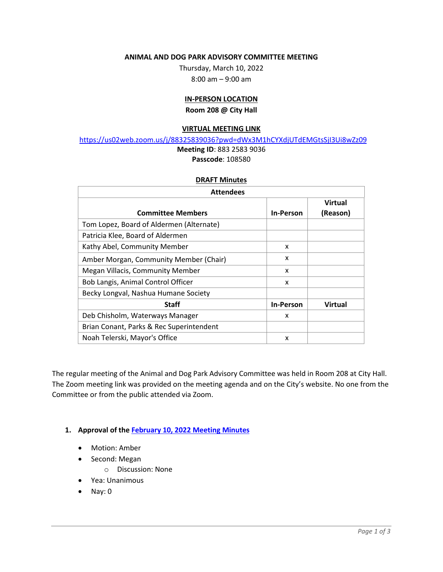#### **ANIMAL AND DOG PARK ADVISORY COMMITTEE MEETING**

Thursday, March 10, 2022 8:00 am – 9:00 am

# **IN-PERSON LOCATION**

**Room 208 @ City Hall**

#### **VIRTUAL MEETING LINK**

https://us02web.zoom.us/j/88325839036?pwd=dWx3M1hCYXdjUTdEMGtsSjI3Ui8wZz09

## **Meeting ID**: 883 2583 9036 **Passcode**: 108580

#### **DRAFT Minutes**

| <b>Attendees</b>                         |                  |                |
|------------------------------------------|------------------|----------------|
|                                          |                  | <b>Virtual</b> |
| <b>Committee Members</b>                 | <b>In-Person</b> | (Reason)       |
| Tom Lopez, Board of Aldermen (Alternate) |                  |                |
| Patricia Klee, Board of Aldermen         |                  |                |
| Kathy Abel, Community Member             | x                |                |
| Amber Morgan, Community Member (Chair)   | x                |                |
| Megan Villacis, Community Member         | X                |                |
| Bob Langis, Animal Control Officer       | X                |                |
| Becky Longval, Nashua Humane Society     |                  |                |
| <b>Staff</b>                             | <b>In-Person</b> | Virtual        |
| Deb Chisholm, Waterways Manager          | x                |                |
| Brian Conant, Parks & Rec Superintendent |                  |                |
| Noah Telerski, Mayor's Office            | X                |                |

The regular meeting of the Animal and Dog Park Advisory Committee was held in Room 208 at City Hall. The Zoom meeting link was provided on the meeting agenda and on the City's website. No one from the Committee or from the public attended via Zoom.

## **1. Approval of the February 10, 2022 Meeting Minutes**

- Motion: Amber
- Second: Megan
	- o Discussion: None
- Yea: Unanimous
- Nay: 0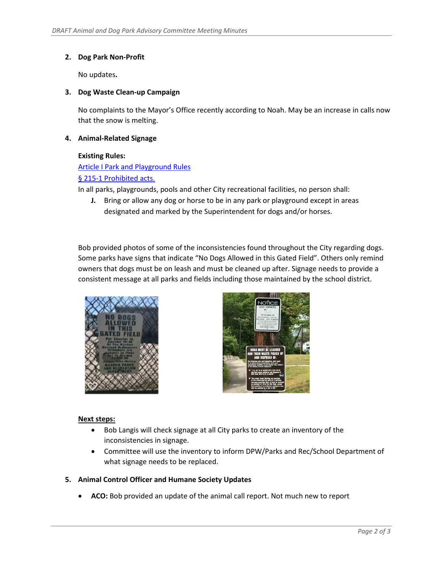# **2. Dog Park Non-Profit**

No updates**.** 

## **3. Dog Waste Clean-up Campaign**

No complaints to the Mayor's Office recently according to Noah. May be an increase in calls now that the snow is melting.

### **4. Animal-Related Signage**

#### **Existing Rules:**

# Article I Park and Playground Rules

## § 215-1 Prohibited acts.

In all parks, playgrounds, pools and other City recreational facilities, no person shall:

**J.** Bring or allow any dog or horse to be in any park or playground except in areas designated and marked by the Superintendent for dogs and/or horses.

Bob provided photos of some of the inconsistencies found throughout the City regarding dogs. Some parks have signs that indicate "No Dogs Allowed in this Gated Field". Others only remind owners that dogs must be on leash and must be cleaned up after. Signage needs to provide a consistent message at all parks and fields including those maintained by the school district.





## **Next steps:**

- Bob Langis will check signage at all City parks to create an inventory of the inconsistencies in signage.
- Committee will use the inventory to inform DPW/Parks and Rec/School Department of what signage needs to be replaced.

## **5. Animal Control Officer and Humane Society Updates**

**ACO:** Bob provided an update of the animal call report. Not much new to report